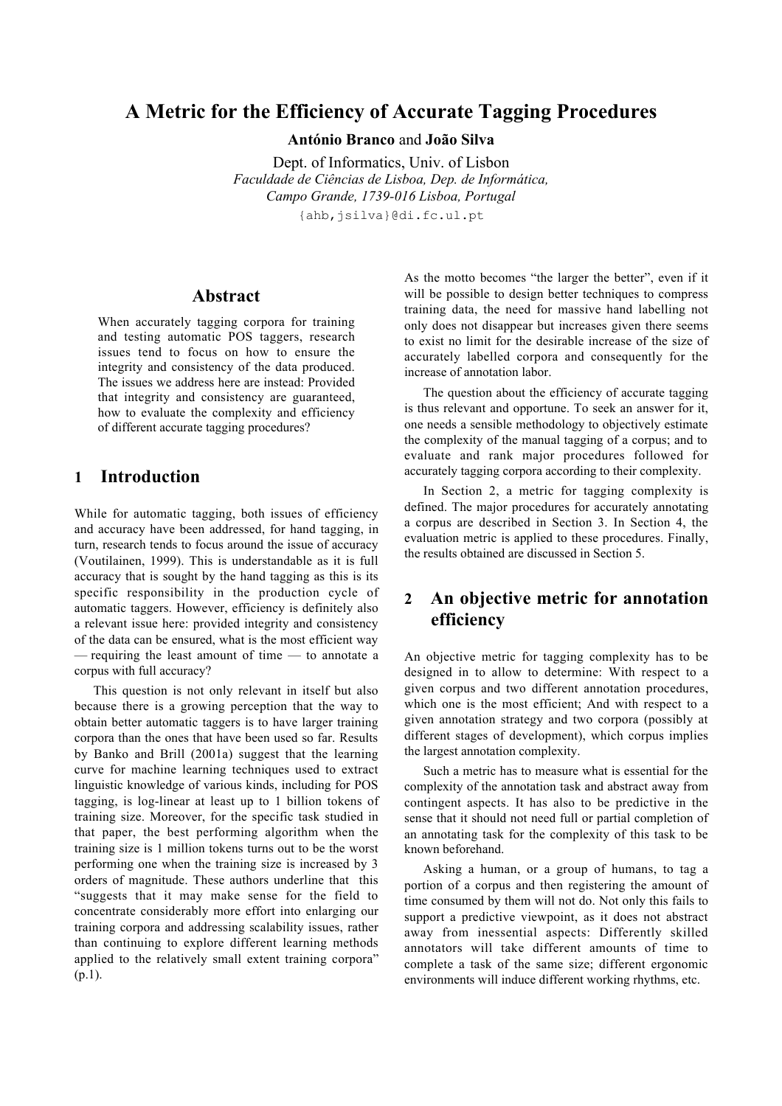# **A Metric for the Efficiency of Accurate Tagging Procedures**

**António Branco** and **João Silva**

Dept. of Informatics, Univ. of Lisbon *Faculdade de Ciências de Lisboa, Dep. de Informática, Campo Grande, 1739-016 Lisboa, Portugal*

{ahb,jsilva}@di.fc.ul.pt

## **Abstract**

When accurately tagging corpora for training and testing automatic POS taggers, research issues tend to focus on how to ensure the integrity and consistency of the data produced. The issues we address here are instead: Provided that integrity and consistency are guaranteed, how to evaluate the complexity and efficiency of different accurate tagging procedures?

# **1 Introduction**

While for automatic tagging, both issues of efficiency and accuracy have been addressed, for hand tagging, in turn, research tends to focus around the issue of accuracy (Voutilainen, 1999). This is understandable as it is full accuracy that is sought by the hand tagging as this is its specific responsibility in the production cycle of automatic taggers. However, efficiency is definitely also a relevant issue here: provided integrity and consistency of the data can be ensured, what is the most efficient way — requiring the least amount of time — to annotate a corpus with full accuracy?

This question is not only relevant in itself but also because there is a growing perception that the way to obtain better automatic taggers is to have larger training corpora than the ones that have been used so far. Results by Banko and Brill (2001a) suggest that the learning curve for machine learning techniques used to extract linguistic knowledge of various kinds, including for POS tagging, is log-linear at least up to 1 billion tokens of training size. Moreover, for the specific task studied in that paper, the best performing algorithm when the training size is 1 million tokens turns out to be the worst performing one when the training size is increased by 3 orders of magnitude. These authors underline that this "suggests that it may make sense for the field to concentrate considerably more effort into enlarging our training corpora and addressing scalability issues, rather than continuing to explore different learning methods applied to the relatively small extent training corpora" (p.1).

As the motto becomes "the larger the better", even if it will be possible to design better techniques to compress training data, the need for massive hand labelling not only does not disappear but increases given there seems to exist no limit for the desirable increase of the size of accurately labelled corpora and consequently for the increase of annotation labor.

The question about the efficiency of accurate tagging is thus relevant and opportune. To seek an answer for it, one needs a sensible methodology to objectively estimate the complexity of the manual tagging of a corpus; and to evaluate and rank major procedures followed for accurately tagging corpora according to their complexity.

In Section 2, a metric for tagging complexity is defined. The major procedures for accurately annotating a corpus are described in Section 3. In Section 4, the evaluation metric is applied to these procedures. Finally, the results obtained are discussed in Section 5.

# **2 An objective metric for annotation efficiency**

An objective metric for tagging complexity has to be designed in to allow to determine: With respect to a given corpus and two different annotation procedures, which one is the most efficient; And with respect to a given annotation strategy and two corpora (possibly at different stages of development), which corpus implies the largest annotation complexity.

Such a metric has to measure what is essential for the complexity of the annotation task and abstract away from contingent aspects. It has also to be predictive in the sense that it should not need full or partial completion of an annotating task for the complexity of this task to be known beforehand.

Asking a human, or a group of humans, to tag a portion of a corpus and then registering the amount of time consumed by them will not do. Not only this fails to support a predictive viewpoint, as it does not abstract away from inessential aspects: Differently skilled annotators will take different amounts of time to complete a task of the same size; different ergonomic environments will induce different working rhythms, etc.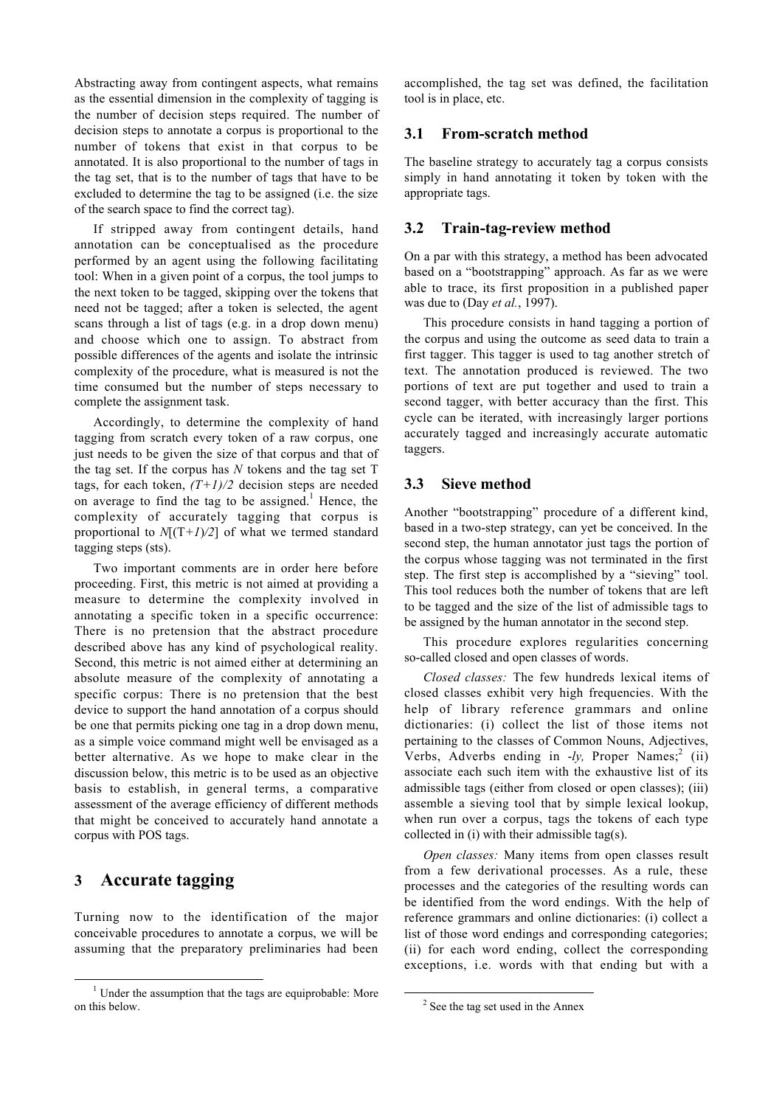Abstracting away from contingent aspects, what remains as the essential dimension in the complexity of tagging is the number of decision steps required. The number of decision steps to annotate a corpus is proportional to the number of tokens that exist in that corpus to be annotated. It is also proportional to the number of tags in the tag set, that is to the number of tags that have to be excluded to determine the tag to be assigned (i.e. the size of the search space to find the correct tag).

If stripped away from contingent details, hand annotation can be conceptualised as the procedure performed by an agent using the following facilitating tool: When in a given point of a corpus, the tool jumps to the next token to be tagged, skipping over the tokens that need not be tagged; after a token is selected, the agent scans through a list of tags (e.g. in a drop down menu) and choose which one to assign. To abstract from possible differences of the agents and isolate the intrinsic complexity of the procedure, what is measured is not the time consumed but the number of steps necessary to complete the assignment task.

Accordingly, to determine the complexity of hand tagging from scratch every token of a raw corpus, one just needs to be given the size of that corpus and that of the tag set. If the corpus has *N* tokens and the tag set T tags, for each token,  $(T+1)/2$  decision steps are needed on average to find the tag to be assigned.<sup>1</sup> Hence, the complexity of accurately tagging that corpus is proportional to  $N[(T+1)/2]$  of what we termed standard tagging steps (sts).

Two important comments are in order here before proceeding. First, this metric is not aimed at providing a measure to determine the complexity involved in annotating a specific token in a specific occurrence: There is no pretension that the abstract procedure described above has any kind of psychological reality. Second, this metric is not aimed either at determining an absolute measure of the complexity of annotating a specific corpus: There is no pretension that the best device to support the hand annotation of a corpus should be one that permits picking one tag in a drop down menu, as a simple voice command might well be envisaged as a better alternative. As we hope to make clear in the discussion below, this metric is to be used as an objective basis to establish, in general terms, a comparative assessment of the average efficiency of different methods that might be conceived to accurately hand annotate a corpus with POS tags.

# **3 Accurate tagging**

Turning now to the identification of the major conceivable procedures to annotate a corpus, we will be assuming that the preparatory preliminaries had been

accomplished, the tag set was defined, the facilitation tool is in place, etc.

### **3.1 From-scratch method**

The baseline strategy to accurately tag a corpus consists simply in hand annotating it token by token with the appropriate tags.

#### **3.2 Train-tag-review method**

On a par with this strategy, a method has been advocated based on a "bootstrapping" approach. As far as we were able to trace, its first proposition in a published paper was due to (Day *et al.*, 1997).

This procedure consists in hand tagging a portion of the corpus and using the outcome as seed data to train a first tagger. This tagger is used to tag another stretch of text. The annotation produced is reviewed. The two portions of text are put together and used to train a second tagger, with better accuracy than the first. This cycle can be iterated, with increasingly larger portions accurately tagged and increasingly accurate automatic taggers.

# **3.3 Sieve method**

Another "bootstrapping" procedure of a different kind, based in a two-step strategy, can yet be conceived. In the second step, the human annotator just tags the portion of the corpus whose tagging was not terminated in the first step. The first step is accomplished by a "sieving" tool. This tool reduces both the number of tokens that are left to be tagged and the size of the list of admissible tags to be assigned by the human annotator in the second step.

This procedure explores regularities concerning so-called closed and open classes of words.

*Closed classes:* The few hundreds lexical items of closed classes exhibit very high frequencies. With the help of library reference grammars and online dictionaries: (i) collect the list of those items not pertaining to the classes of Common Nouns, Adjectives, Verbs, Adverbs ending in -ly, Proper Names;<sup>2</sup> (ii) associate each such item with the exhaustive list of its admissible tags (either from closed or open classes); (iii) assemble a sieving tool that by simple lexical lookup, when run over a corpus, tags the tokens of each type collected in (i) with their admissible tag(s).

*Open classes:* Many items from open classes result from a few derivational processes. As a rule, these processes and the categories of the resulting words can be identified from the word endings. With the help of reference grammars and online dictionaries: (i) collect a list of those word endings and corresponding categories; (ii) for each word ending, collect the corresponding exceptions, i.e. words with that ending but with a

 $\overline{\phantom{0}1}$  $1$  Under the assumption that the tags are equiprobable: More on this below.

 <sup>2</sup>  $2$  See the tag set used in the Annex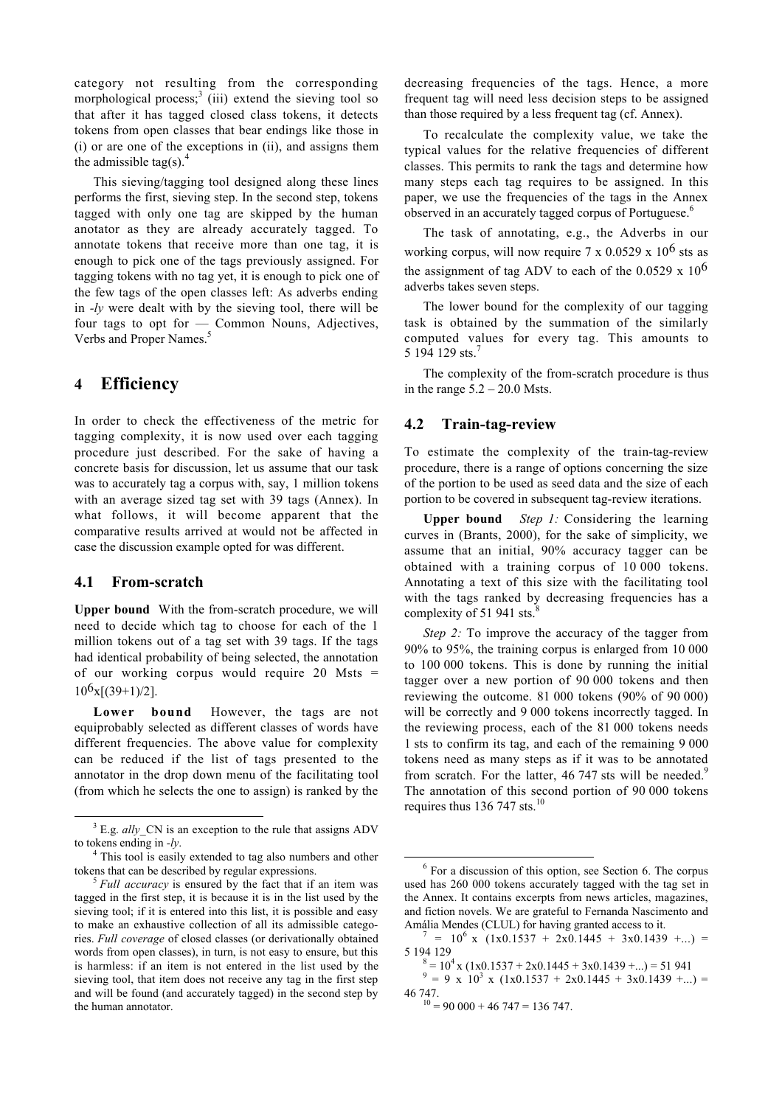category not resulting from the corresponding morphological process; $3$  (iii) extend the sieving tool so that after it has tagged closed class tokens, it detects tokens from open classes that bear endings like those in (i) or are one of the exceptions in (ii), and assigns them the admissible tag(s). $\frac{4}{3}$ 

This sieving/tagging tool designed along these lines performs the first, sieving step. In the second step, tokens tagged with only one tag are skipped by the human anotator as they are already accurately tagged. To annotate tokens that receive more than one tag, it is enough to pick one of the tags previously assigned. For tagging tokens with no tag yet, it is enough to pick one of the few tags of the open classes left: As adverbs ending in *-ly* were dealt with by the sieving tool, there will be four tags to opt for — Common Nouns, Adjectives, Verbs and Proper Names.<sup>5</sup>

# **4 Efficiency**

In order to check the effectiveness of the metric for tagging complexity, it is now used over each tagging procedure just described. For the sake of having a concrete basis for discussion, let us assume that our task was to accurately tag a corpus with, say, 1 million tokens with an average sized tag set with 39 tags (Annex). In what follows, it will become apparent that the comparative results arrived at would not be affected in case the discussion example opted for was different.

#### **4.1 From-scratch**

**Upper bound** With the from-scratch procedure, we will need to decide which tag to choose for each of the 1 million tokens out of a tag set with 39 tags. If the tags had identical probability of being selected, the annotation of our working corpus would require 20 Msts =  $10^6$ x[(39+1)/2].

**Lower bound** However, the tags are not equiprobably selected as different classes of words have different frequencies. The above value for complexity can be reduced if the list of tags presented to the annotator in the drop down menu of the facilitating tool (from which he selects the one to assign) is ranked by the

decreasing frequencies of the tags. Hence, a more frequent tag will need less decision steps to be assigned than those required by a less frequent tag (cf. Annex).

To recalculate the complexity value, we take the typical values for the relative frequencies of different classes. This permits to rank the tags and determine how many steps each tag requires to be assigned. In this paper, we use the frequencies of the tags in the Annex observed in an accurately tagged corpus of Portuguese.<sup>6</sup>

The task of annotating, e.g., the Adverbs in our working corpus, will now require 7 x 0.0529 x  $10^6$  sts as the assignment of tag ADV to each of the 0.0529 x  $10^6$ adverbs takes seven steps.

The lower bound for the complexity of our tagging task is obtained by the summation of the similarly computed values for every tag. This amounts to 5 194 129 sts.<sup>7</sup>

The complexity of the from-scratch procedure is thus in the range  $5.2 - 20.0$  Msts.

### **4.2 Train-tag-review**

To estimate the complexity of the train-tag-review procedure, there is a range of options concerning the size of the portion to be used as seed data and the size of each portion to be covered in subsequent tag-review iterations.

**Upper bound** *Step 1:* Considering the learning curves in (Brants, 2000), for the sake of simplicity, we assume that an initial, 90% accuracy tagger can be obtained with a training corpus of 10 000 tokens. Annotating a text of this size with the facilitating tool with the tags ranked by decreasing frequencies has a complexity of 51 941 sts.

*Step 2:* To improve the accuracy of the tagger from 90% to 95%, the training corpus is enlarged from 10 000 to 100 000 tokens. This is done by running the initial tagger over a new portion of 90 000 tokens and then reviewing the outcome. 81 000 tokens (90% of 90 000) will be correctly and 9 000 tokens incorrectly tagged. In the reviewing process, each of the 81 000 tokens needs 1 sts to confirm its tag, and each of the remaining 9 000 tokens need as many steps as if it was to be annotated from scratch. For the latter,  $46,747$  sts will be needed.<sup>9</sup> The annotation of this second portion of 90 000 tokens requires thus  $136\,747$  sts.<sup>10</sup>

 $\overline{\phantom{0}}$  $^3$  E.g. *ally* CN is an exception to the rule that assigns ADV to tokens ending in  $-*l*y$ .

 $4$  This tool is easily extended to tag also numbers and other tokens that can be described by regular expressions.

 $5$  *Full accuracy* is ensured by the fact that if an item was tagged in the first step, it is because it is in the list used by the sieving tool; if it is entered into this list, it is possible and easy to make an exhaustive collection of all its admissible categories. *Full coverage* of closed classes (or derivationally obtained words from open classes), in turn, is not easy to ensure, but this is harmless: if an item is not entered in the list used by the sieving tool, that item does not receive any tag in the first step and will be found (and accurately tagged) in the second step by the human annotator.

 $\overline{\phantom{0}}$  $6$  For a discussion of this option, see Section 6. The corpus used has 260 000 tokens accurately tagged with the tag set in the Annex. It contains excerpts from news articles, magazines, and fiction novels. We are grateful to Fernanda Nascimento and Amália Mendes (CLUL) for having granted access to it.

 $= 10^6$  x  $(1x0.1537 + 2x0.1445 + 3x0.1439 +...)$ 5 194 129

 $x^8 = 10^4$  x (1x0.1537 + 2x0.1445 + 3x0.1439 +...) = 51 941

 $t^{9} = 9 \times 10^{3} \times (1 \times 0.1537 + 2 \times 0.1445 + 3 \times 0.1439 + ...)$  $^{10}$  = 90 000 + 46 747 = 136 747.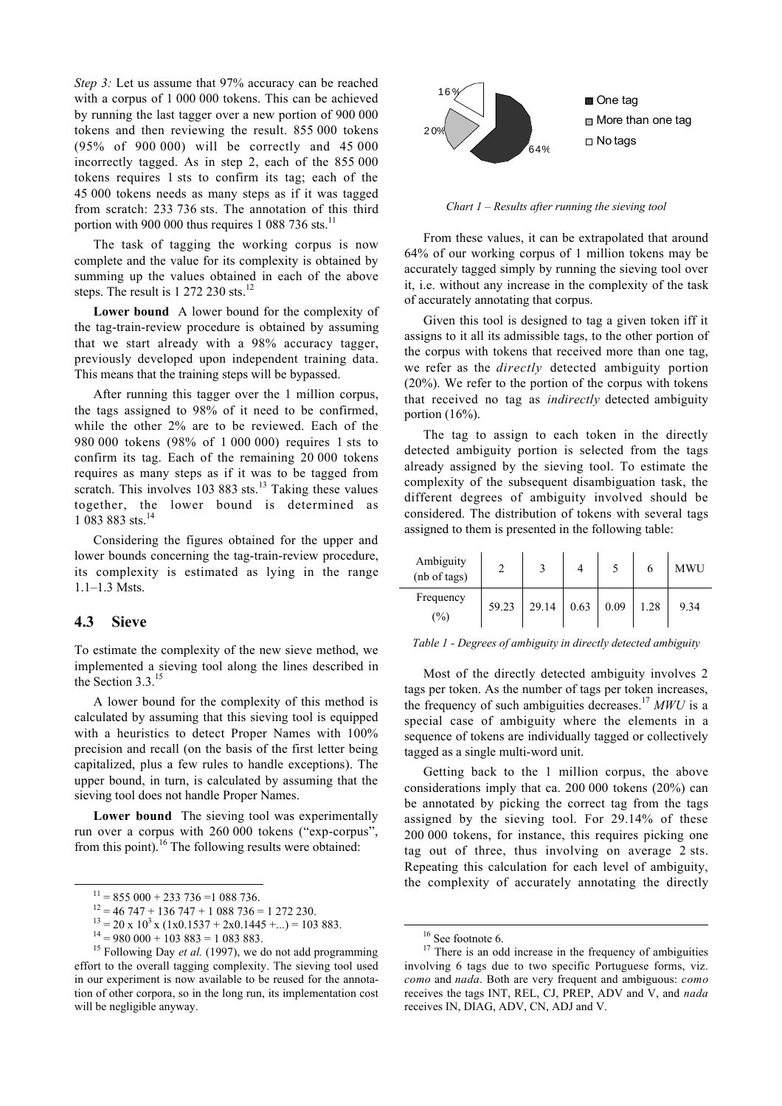*Step 3:* Let us assume that 97% accuracy can be reached with a corpus of 1 000 000 tokens. This can be achieved by running the last tagger over a new portion of 900 000 tokens and then reviewing the result. 855 000 tokens (95% of 900 000) will be correctly and 45 000 incorrectly tagged. As in step 2, each of the 855 000 tokens requires 1 sts to confirm its tag; each of the 45 000 tokens needs as many steps as if it was tagged from scratch: 233 736 sts. The annotation of this third portion with 900 000 thus requires 1 088 736 sts.<sup>11</sup>

The task of tagging the working corpus is now complete and the value for its complexity is obtained by summing up the values obtained in each of the above steps. The result is 1 272 230 sts.<sup>12</sup>

**Lower bound** A lower bound for the complexity of the tag-train-review procedure is obtained by assuming that we start already with a 98% accuracy tagger, previously developed upon independent training data. This means that the training steps will be bypassed.

After running this tagger over the 1 million corpus, the tags assigned to 98% of it need to be confirmed, while the other 2% are to be reviewed. Each of the 980 000 tokens (98% of 1 000 000) requires 1 sts to confirm its tag. Each of the remaining 20 000 tokens requires as many steps as if it was to be tagged from scratch. This involves  $103 883$  sts.<sup>13</sup> Taking these values together, the lower bound is determined as 1 083 883 sts.<sup>14</sup>

Considering the figures obtained for the upper and lower bounds concerning the tag-train-review procedure, its complexity is estimated as lying in the range 1.1–1.3 Msts.

#### **4.3 Sieve**

To estimate the complexity of the new sieve method, we implemented a sieving tool along the lines described in the Section 3.3.<sup>15</sup>

A lower bound for the complexity of this method is calculated by assuming that this sieving tool is equipped with a heuristics to detect Proper Names with  $100\%$ precision and recall (on the basis of the first letter being capitalized, plus a few rules to handle exceptions). The upper bound, in turn, is calculated by assuming that the sieving tool does not handle Proper Names.

**Lower bound** The sieving tool was experimentally run over a corpus with 260 000 tokens ("exp-corpus", from this point).16 The following results were obtained:



*Chart 1 – Results after running the sieving tool*

From these values, it can be extrapolated that around 64% of our working corpus of 1 million tokens may be accurately tagged simply by running the sieving tool over it, i.e. without any increase in the complexity of the task of accurately annotating that corpus.

Given this tool is designed to tag a given token iff it assigns to it all its admissible tags, to the other portion of the corpus with tokens that received more than one tag, we refer as the *directly* detected ambiguity portion (20%). We refer to the portion of the corpus with tokens that received no tag as *indirectly* detected ambiguity portion  $(16%)$ .

The tag to assign to each token in the directly detected ambiguity portion is selected from the tags already assigned by the sieving tool. To estimate the complexity of the subsequent disambiguation task, the different degrees of ambiguity involved should be considered. The distribution of tokens with several tags assigned to them is presented in the following table:

| Ambiguity<br>(nb of tags) |       |       |      |      |      | <b>MWU</b> |
|---------------------------|-------|-------|------|------|------|------------|
| Frequency<br>(%)          | 59.23 | 29.14 | 0.63 | 0.09 | 1.28 | 9.34       |

*Table 1 - Degrees of ambiguity in directly detected ambiguity*

Most of the directly detected ambiguity involves 2 tags per token. As the number of tags per token increases, the frequency of such ambiguities decreases.<sup>17</sup> *MWU* is a special case of ambiguity where the elements in a sequence of tokens are individually tagged or collectively tagged as a single multi-word unit.

Getting back to the 1 million corpus, the above considerations imply that ca. 200 000 tokens (20%) can be annotated by picking the correct tag from the tags assigned by the sieving tool. For 29.14% of these 200 000 tokens, for instance, this requires picking one tag out of three, thus involving on average 2 sts. Repeating this calculation for each level of ambiguity, the complexity of accurately annotating the directly

 $11 = 855000 + 233736 = 1088736.$ 

 $12 = 46747 + 136747 + 1088736 = 1272230.$ 

 $13 = 20 \times 10^3 \times (1 \times 0.1537 + 2 \times 0.1445 + ...) = 103883.$ <br> $14 = 980000 + 103883 = 1083883.$ 

<sup>&</sup>lt;sup>15</sup> Following Day *et al.* (1997), we do not add programming effort to the overall tagging complexity. The sieving tool used in our experiment is now available to be reused for the annotation of other corpora, so in the long run, its implementation cost will be negligible anyway.

<sup>&</sup>lt;sup>16</sup> See footnote 6.

<sup>&</sup>lt;sup>17</sup> There is an odd increase in the frequency of ambiguities involving 6 tags due to two specific Portuguese forms, viz. *como* and *nada*. Both are very frequent and ambiguous: *como* receives the tags INT, REL, CJ, PREP, ADV and V, and *nada* receives IN, DIAG, ADV, CN, ADJ and V.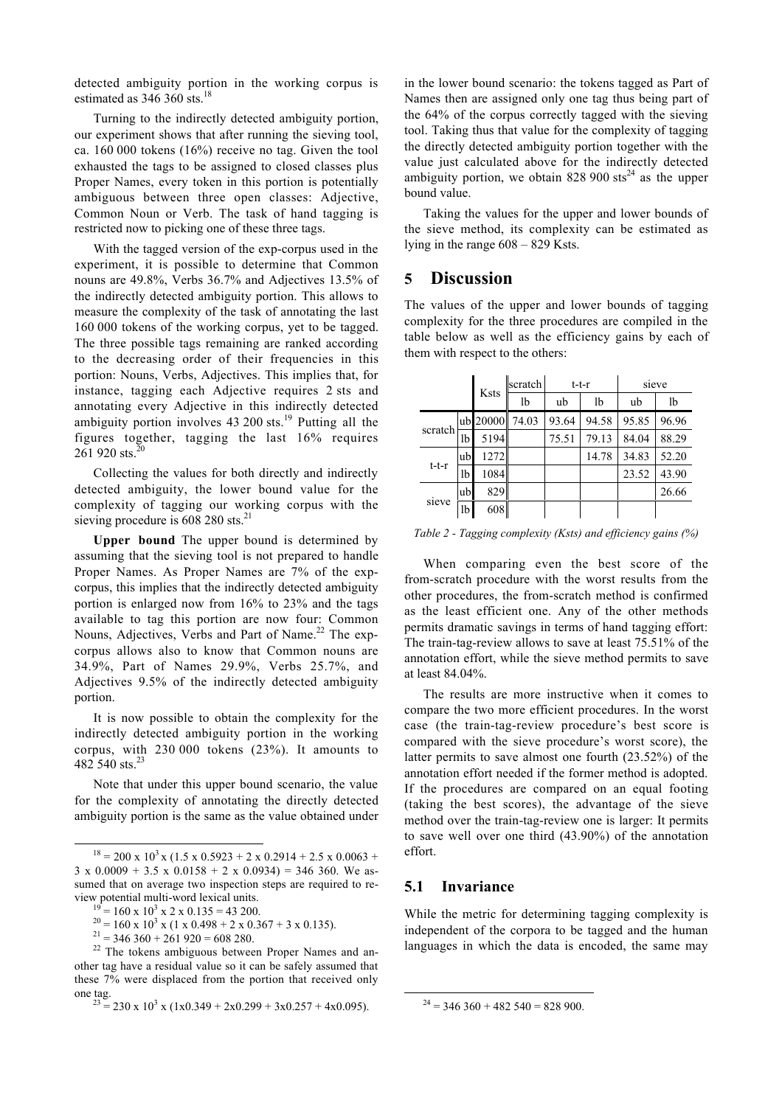detected ambiguity portion in the working corpus is estimated as 346 360 sts.<sup>18</sup>

Turning to the indirectly detected ambiguity portion, our experiment shows that after running the sieving tool, ca. 160 000 tokens (16%) receive no tag. Given the tool exhausted the tags to be assigned to closed classes plus Proper Names, every token in this portion is potentially ambiguous between three open classes: Adjective, Common Noun or Verb. The task of hand tagging is restricted now to picking one of these three tags.

With the tagged version of the exp-corpus used in the experiment, it is possible to determine that Common nouns are 49.8%, Verbs 36.7% and Adjectives 13.5% of the indirectly detected ambiguity portion. This allows to measure the complexity of the task of annotating the last 160 000 tokens of the working corpus, yet to be tagged. The three possible tags remaining are ranked according to the decreasing order of their frequencies in this portion: Nouns, Verbs, Adjectives. This implies that, for instance, tagging each Adjective requires 2 sts and annotating every Adjective in this indirectly detected ambiguity portion involves 43 200 sts.<sup>19</sup> Putting all the figures together, tagging the last 16% requires 261 920 sts. $^{2}$ 

Collecting the values for both directly and indirectly detected ambiguity, the lower bound value for the complexity of tagging our working corpus with the sieving procedure is  $608\,280$  sts.<sup>21</sup>

**Upper bound** The upper bound is determined by assuming that the sieving tool is not prepared to handle Proper Names. As Proper Names are 7% of the expcorpus, this implies that the indirectly detected ambiguity portion is enlarged now from 16% to 23% and the tags available to tag this portion are now four: Common Nouns, Adjectives, Verbs and Part of Name.<sup>22</sup> The expcorpus allows also to know that Common nouns are 34.9%, Part of Names 29.9%, Verbs 25.7%, and Adjectives 9.5% of the indirectly detected ambiguity portion.

It is now possible to obtain the complexity for the indirectly detected ambiguity portion in the working corpus, with 230 000 tokens (23%). It amounts to 482 540 sts.<sup>23</sup>

Note that under this upper bound scenario, the value for the complexity of annotating the directly detected ambiguity portion is the same as the value obtained under

 $x^{20} = 160 \times 10^{3} \times (1 \times 0.498 + 2 \times 0.367 + 3 \times 0.135).$ <br>  $x^{21} = 346360 + 261920 = 608280.$ 

in the lower bound scenario: the tokens tagged as Part of Names then are assigned only one tag thus being part of the 64% of the corpus correctly tagged with the sieving tool. Taking thus that value for the complexity of tagging the directly detected ambiguity portion together with the value just calculated above for the indirectly detected ambiguity portion, we obtain 828 900 sts<sup>24</sup> as the upper bound value.

Taking the values for the upper and lower bounds of the sieve method, its complexity can be estimated as lying in the range 608 – 829 Ksts.

# **5 Discussion**

The values of the upper and lower bounds of tagging complexity for the three procedures are compiled in the table below as well as the efficiency gains by each of them with respect to the others:

|         |    | <b>Ksts</b> | scratch | $t-t-r$ |       | sieve |       |
|---------|----|-------------|---------|---------|-------|-------|-------|
|         |    |             | 1b      | ub      | lb    | ub    | lb    |
| scratch |    | ub 20000    | 74.03   | 93.64   | 94.58 | 95.85 | 96.96 |
|         | 1b | 5194        |         | 75.51   | 79.13 | 84.04 | 88.29 |
| $t-t-r$ | ub | 1272        |         |         | 14.78 | 34.83 | 52.20 |
|         | lb | 1084        |         |         |       | 23.52 | 43.90 |
| sieve   | ub | 829         |         |         |       |       | 26.66 |
|         | lb | 608         |         |         |       |       |       |

*Table 2 - Tagging complexity (Ksts) and efficiency gains (%)*

When comparing even the best score of the from-scratch procedure with the worst results from the other procedures, the from-scratch method is confirmed as the least efficient one. Any of the other methods permits dramatic savings in terms of hand tagging effort: The train-tag-review allows to save at least 75.51% of the annotation effort, while the sieve method permits to save at least 84.04%.

The results are more instructive when it comes to compare the two more efficient procedures. In the worst case (the train-tag-review procedure's best score is compared with the sieve procedure's worst score), the latter permits to save almost one fourth (23.52%) of the annotation effort needed if the former method is adopted. If the procedures are compared on an equal footing (taking the best scores), the advantage of the sieve method over the train-tag-review one is larger: It permits to save well over one third (43.90%) of the annotation effort.

#### **5.1 Invariance**

While the metric for determining tagging complexity is independent of the corpora to be tagged and the human languages in which the data is encoded, the same may

 $18 = 200 \times 10^{3} \times (1.5 \times 0.5923 + 2 \times 0.2914 + 2.5 \times 0.0063 +$  $3 \times 0.0009 + 3.5 \times 0.0158 + 2 \times 0.0934 = 346360$ . We assumed that on average two inspection steps are required to review potential multi-word lexical units.<br><sup>19</sup> = 160 x 10<sup>3</sup> x 2 x 0.135 = 43 200.

 $x^{19} = 160 \times 10^{3} \times 2 \times 0.135 = 43\ 200.$ <br>  $x^{20} = 160 \times 10^{3} \times (1 \times 0.498 + 2 \times 0.3)$ 

<sup>&</sup>lt;sup>21</sup> = 346 360 + 261 920 = 608 280.<br><sup>22</sup> The tokens ambiguous between Proper Names and another tag have a residual value so it can be safely assumed that these 7% were displaced from the portion that received only one tag.<br>  $2^3 = 230 \times 10^3 \times (1 \times 0.349 + 2 \times 0.299 + 3 \times 0.257 + 4 \times 0.095)$ .

 $^{24}$  = 346 360 + 482 540 = 828 900.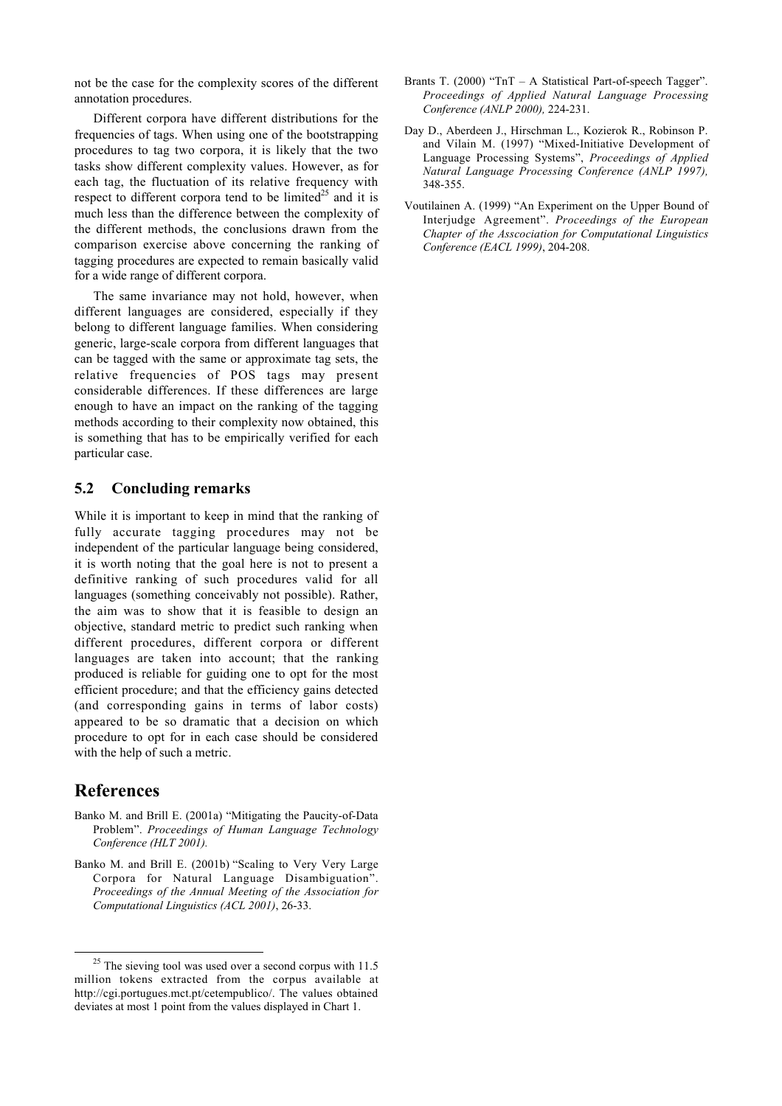not be the case for the complexity scores of the different annotation procedures.

Different corpora have different distributions for the frequencies of tags. When using one of the bootstrapping procedures to tag two corpora, it is likely that the two tasks show different complexity values. However, as for each tag, the fluctuation of its relative frequency with respect to different corpora tend to be limited<sup>25</sup> and it is much less than the difference between the complexity of the different methods, the conclusions drawn from the comparison exercise above concerning the ranking of tagging procedures are expected to remain basically valid for a wide range of different corpora.

The same invariance may not hold, however, when different languages are considered, especially if they belong to different language families. When considering generic, large-scale corpora from different languages that can be tagged with the same or approximate tag sets, the relative frequencies of POS tags may present considerable differences. If these differences are large enough to have an impact on the ranking of the tagging methods according to their complexity now obtained, this is something that has to be empirically verified for each particular case.

### **5.2 Concluding remarks**

While it is important to keep in mind that the ranking of fully accurate tagging procedures may not be independent of the particular language being considered, it is worth noting that the goal here is not to present a definitive ranking of such procedures valid for all languages (something conceivably not possible). Rather, the aim was to show that it is feasible to design an objective, standard metric to predict such ranking when different procedures, different corpora or different languages are taken into account; that the ranking produced is reliable for guiding one to opt for the most efficient procedure; and that the efficiency gains detected (and corresponding gains in terms of labor costs) appeared to be so dramatic that a decision on which procedure to opt for in each case should be considered with the help of such a metric.

### **References**

- Banko M. and Brill E. (2001a) "Mitigating the Paucity-of-Data Problem". *Proceedings of Human Language Technology Conference (HLT 2001).*
- Banko M. and Brill E. (2001b) "Scaling to Very Very Large Corpora for Natural Language Disambiguation". *Proceedings of the Annual Meeting of the Association for Computational Linguistics (ACL 2001)*, 26-33.
- Brants T. (2000) "TnT A Statistical Part-of-speech Tagger". *Proceedings of Applied Natural Language Processing Conference (ANLP 2000),* 224-231.
- Day D., Aberdeen J., Hirschman L., Kozierok R., Robinson P. and Vilain M. (1997) "Mixed-Initiative Development of Language Processing Systems", *Proceedings of Applied Natural Language Processing Conference (ANLP 1997),* 348-355.
- Voutilainen A. (1999) "An Experiment on the Upper Bound of Interjudge Agreement". *Proceedings of the European Chapter of the Asscociation for Computational Linguistics Conference (EACL 1999)*, 204-208.

 $25$  The sieving tool was used over a second corpus with 11.5 million tokens extracted from the corpus available at http://cgi.portugues.mct.pt/cetempublico/. The values obtained deviates at most 1 point from the values displayed in Chart 1.